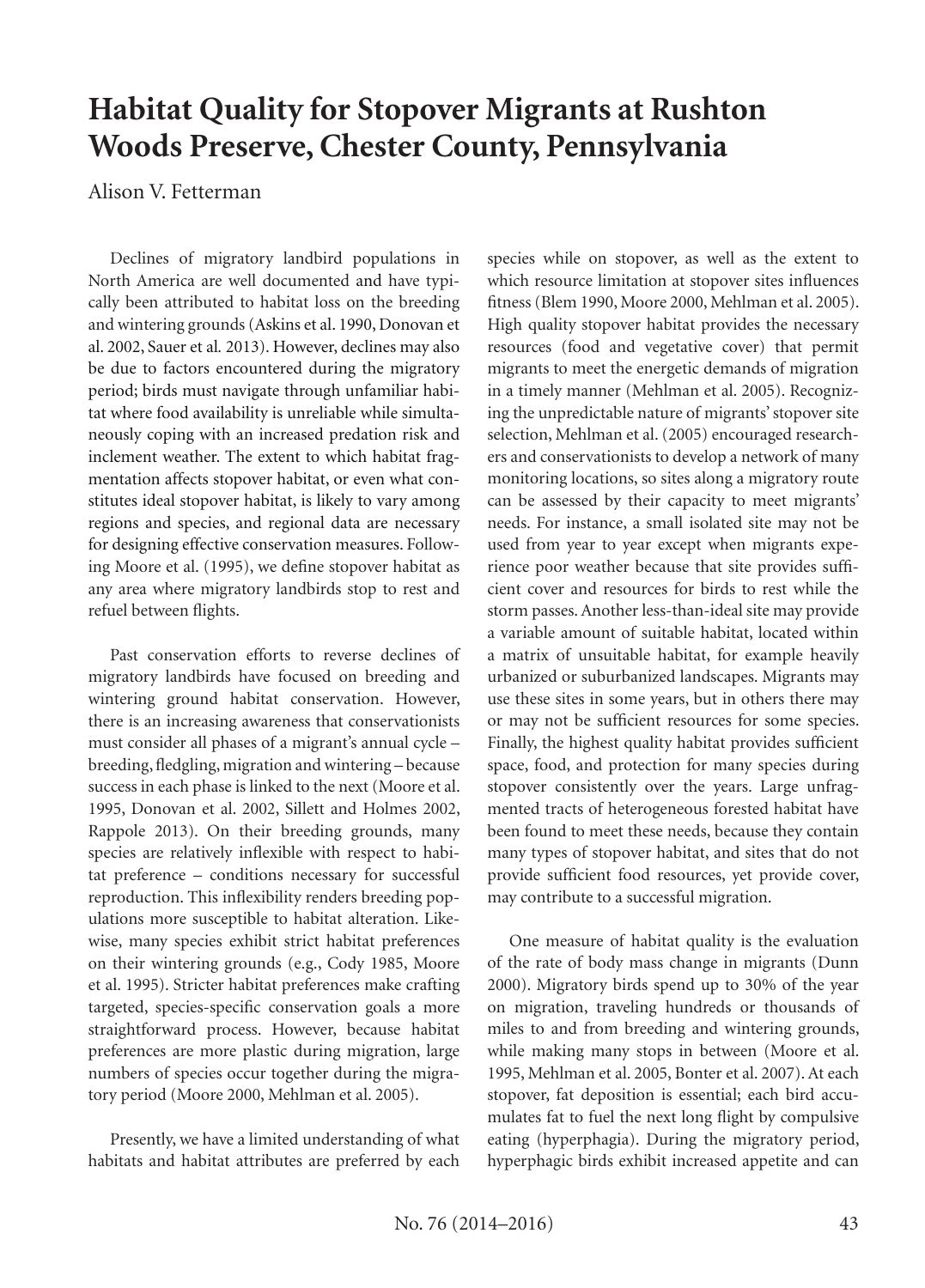# **Habitat Quality for Stopover Migrants at Rushton Woods Preserve, Chester County, Pennsylvania**

Alison V. Fetterman

Declines of migratory landbird populations in North America are well documented and have typically been attributed to habitat loss on the breeding and wintering grounds (Askins et al. 1990, Donovan et al. 2002, Sauer et al*.* 2013). However, declines may also be due to factors encountered during the migratory period; birds must navigate through unfamiliar habitat where food availability is unreliable while simultaneously coping with an increased predation risk and inclement weather. The extent to which habitat fragmentation affects stopover habitat, or even what constitutes ideal stopover habitat, is likely to vary among regions and species, and regional data are necessary for designing effective conservation measures. Following Moore et al. (1995), we define stopover habitat as any area where migratory landbirds stop to rest and refuel between flights.

Past conservation efforts to reverse declines of migratory landbirds have focused on breeding and wintering ground habitat conservation. However, there is an increasing awareness that conservationists must consider all phases of a migrant's annual cycle – breeding, fledgling, migration and wintering – because success in each phase is linked to the next (Moore et al. 1995, Donovan et al. 2002, Sillett and Holmes 2002, Rappole 2013). On their breeding grounds, many species are relatively inflexible with respect to habitat preference – conditions necessary for successful reproduction. This inflexibility renders breeding populations more susceptible to habitat alteration. Likewise, many species exhibit strict habitat preferences on their wintering grounds (e.g., Cody 1985, Moore et al. 1995). Stricter habitat preferences make crafting targeted, species-specific conservation goals a more straightforward process. However, because habitat preferences are more plastic during migration, large numbers of species occur together during the migratory period (Moore 2000, Mehlman et al. 2005).

Presently, we have a limited understanding of what habitats and habitat attributes are preferred by each

species while on stopover, as well as the extent to which resource limitation at stopover sites influences fitness (Blem 1990, Moore 2000, Mehlman et al. 2005). High quality stopover habitat provides the necessary resources (food and vegetative cover) that permit migrants to meet the energetic demands of migration in a timely manner (Mehlman et al. 2005). Recognizing the unpredictable nature of migrants' stopover site selection, Mehlman et al. (2005) encouraged researchers and conservationists to develop a network of many monitoring locations, so sites along a migratory route can be assessed by their capacity to meet migrants' needs. For instance, a small isolated site may not be used from year to year except when migrants experience poor weather because that site provides sufficient cover and resources for birds to rest while the storm passes. Another less-than-ideal site may provide a variable amount of suitable habitat, located within a matrix of unsuitable habitat, for example heavily urbanized or suburbanized landscapes. Migrants may use these sites in some years, but in others there may or may not be sufficient resources for some species. Finally, the highest quality habitat provides sufficient space, food, and protection for many species during stopover consistently over the years. Large unfragmented tracts of heterogeneous forested habitat have been found to meet these needs, because they contain many types of stopover habitat, and sites that do not provide sufficient food resources, yet provide cover, may contribute to a successful migration.

One measure of habitat quality is the evaluation of the rate of body mass change in migrants (Dunn 2000). Migratory birds spend up to 30% of the year on migration, traveling hundreds or thousands of miles to and from breeding and wintering grounds, while making many stops in between (Moore et al. 1995, Mehlman et al. 2005, Bonter et al. 2007). At each stopover, fat deposition is essential; each bird accumulates fat to fuel the next long flight by compulsive eating (hyperphagia). During the migratory period, hyperphagic birds exhibit increased appetite and can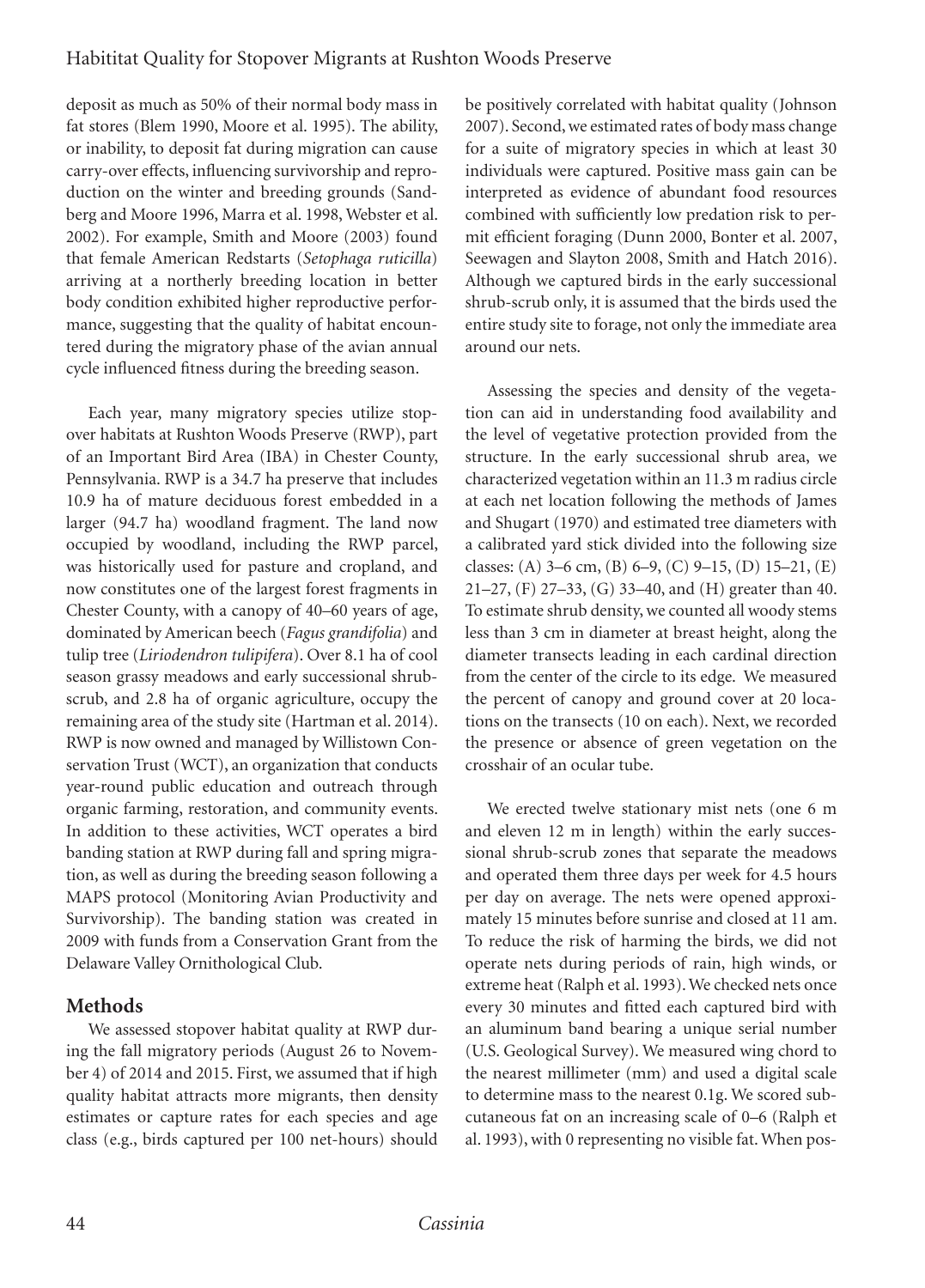### Habititat Quality for Stopover Migrants at Rushton Woods Preserve

deposit as much as 50% of their normal body mass in fat stores (Blem 1990, Moore et al. 1995). The ability, or inability, to deposit fat during migration can cause carry-over effects, influencing survivorship and reproduction on the winter and breeding grounds (Sandberg and Moore 1996, Marra et al. 1998, Webster et al. 2002). For example, Smith and Moore (2003) found that female American Redstarts (*Setophaga ruticilla*) arriving at a northerly breeding location in better body condition exhibited higher reproductive performance, suggesting that the quality of habitat encountered during the migratory phase of the avian annual cycle influenced fitness during the breeding season.

Each year, many migratory species utilize stopover habitats at Rushton Woods Preserve (RWP), part of an Important Bird Area (IBA) in Chester County, Pennsylvania. RWP is a 34.7 ha preserve that includes 10.9 ha of mature deciduous forest embedded in a larger (94.7 ha) woodland fragment. The land now occupied by woodland, including the RWP parcel, was historically used for pasture and cropland, and now constitutes one of the largest forest fragments in Chester County, with a canopy of 40–60 years of age, dominated by American beech (*Fagus grandifolia*) and tulip tree (*Liriodendron tulipifera*). Over 8.1 ha of cool season grassy meadows and early successional shrubscrub, and 2.8 ha of organic agriculture, occupy the remaining area of the study site (Hartman et al. 2014). RWP is now owned and managed by Willistown Conservation Trust (WCT), an organization that conducts year-round public education and outreach through organic farming, restoration, and community events. In addition to these activities, WCT operates a bird banding station at RWP during fall and spring migration, as well as during the breeding season following a MAPS protocol (Monitoring Avian Productivity and Survivorship). The banding station was created in 2009 with funds from a Conservation Grant from the Delaware Valley Ornithological Club.

### **Methods**

We assessed stopover habitat quality at RWP during the fall migratory periods (August 26 to November 4) of 2014 and 2015. First, we assumed that if high quality habitat attracts more migrants, then density estimates or capture rates for each species and age class (e.g., birds captured per 100 net-hours) should be positively correlated with habitat quality (Johnson 2007). Second, we estimated rates of body mass change for a suite of migratory species in which at least 30 individuals were captured. Positive mass gain can be interpreted as evidence of abundant food resources combined with sufficiently low predation risk to permit efficient foraging (Dunn 2000, Bonter et al. 2007, Seewagen and Slayton 2008, Smith and Hatch 2016). Although we captured birds in the early successional shrub-scrub only, it is assumed that the birds used the entire study site to forage, not only the immediate area around our nets.

Assessing the species and density of the vegetation can aid in understanding food availability and the level of vegetative protection provided from the structure. In the early successional shrub area, we characterized vegetation within an 11.3 m radius circle at each net location following the methods of James and Shugart (1970) and estimated tree diameters with a calibrated yard stick divided into the following size classes: (A) 3–6 cm, (B) 6–9, (C) 9–15, (D) 15–21, (E) 21–27, (F) 27–33, (G) 33–40, and (H) greater than 40. To estimate shrub density, we counted all woody stems less than 3 cm in diameter at breast height, along the diameter transects leading in each cardinal direction from the center of the circle to its edge. We measured the percent of canopy and ground cover at 20 locations on the transects (10 on each). Next, we recorded the presence or absence of green vegetation on the crosshair of an ocular tube.

We erected twelve stationary mist nets (one 6 m and eleven 12 m in length) within the early successional shrub-scrub zones that separate the meadows and operated them three days per week for 4.5 hours per day on average. The nets were opened approximately 15 minutes before sunrise and closed at 11 am. To reduce the risk of harming the birds, we did not operate nets during periods of rain, high winds, or extreme heat (Ralph et al. 1993). We checked nets once every 30 minutes and fitted each captured bird with an aluminum band bearing a unique serial number (U.S. Geological Survey). We measured wing chord to the nearest millimeter (mm) and used a digital scale to determine mass to the nearest 0.1g. We scored subcutaneous fat on an increasing scale of 0–6 (Ralph et al. 1993), with 0 representing no visible fat. When pos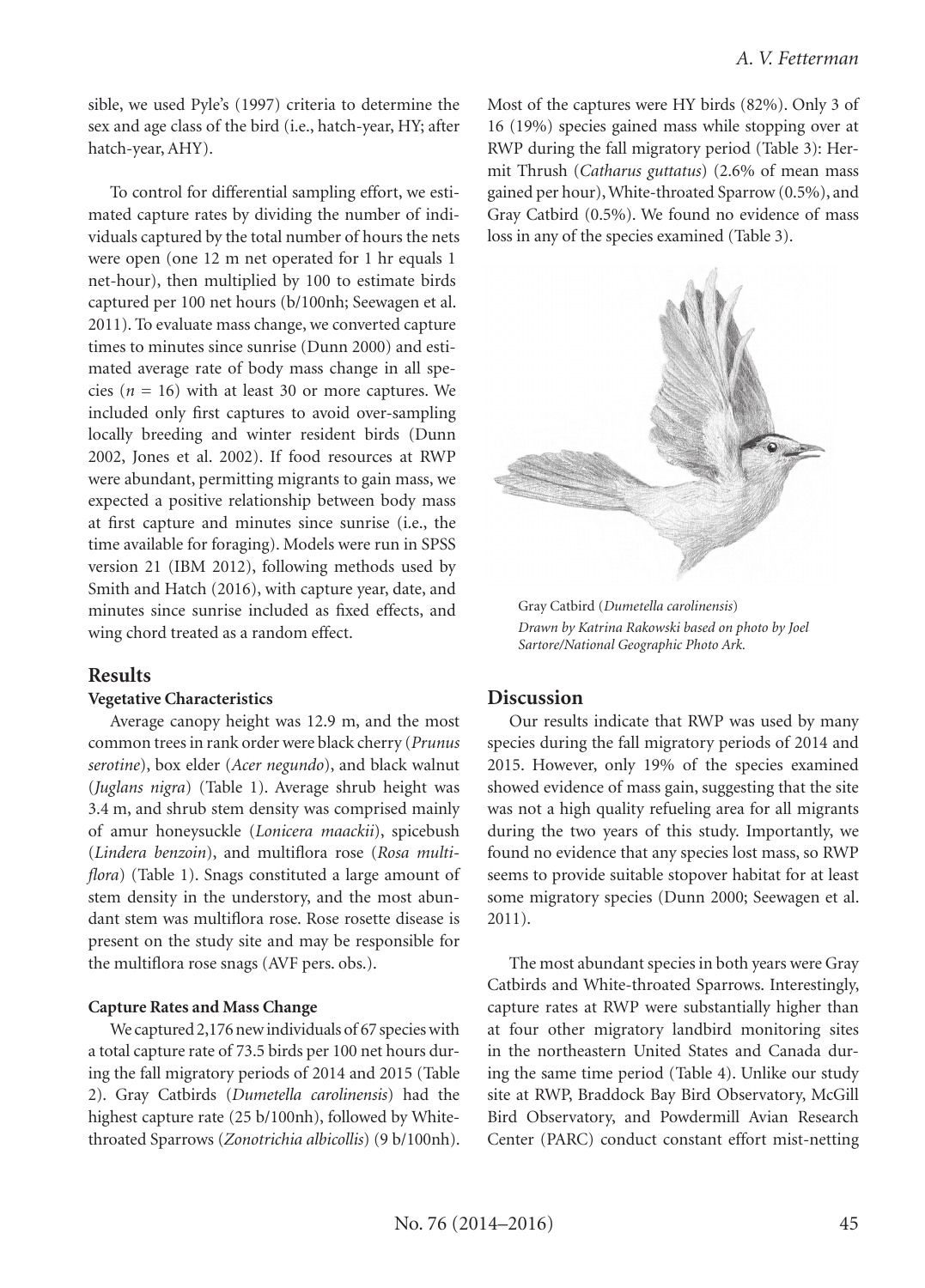sible, we used Pyle's (1997) criteria to determine the sex and age class of the bird (i.e., hatch-year, HY; after hatch-year, AHY).

To control for differential sampling effort, we estimated capture rates by dividing the number of individuals captured by the total number of hours the nets were open (one 12 m net operated for 1 hr equals 1 net-hour), then multiplied by 100 to estimate birds captured per 100 net hours (b/100nh; Seewagen et al. 2011). To evaluate mass change, we converted capture times to minutes since sunrise (Dunn 2000) and estimated average rate of body mass change in all species ( $n = 16$ ) with at least 30 or more captures. We included only first captures to avoid over-sampling locally breeding and winter resident birds (Dunn 2002, Jones et al. 2002). If food resources at RWP were abundant, permitting migrants to gain mass, we expected a positive relationship between body mass at first capture and minutes since sunrise (i.e., the time available for foraging). Models were run in SPSS version 21 (IBM 2012), following methods used by Smith and Hatch (2016), with capture year, date, and minutes since sunrise included as fixed effects, and wing chord treated as a random effect.

#### **Results**

#### **Vegetative Characteristics**

Average canopy height was 12.9 m, and the most common trees in rank order were black cherry (*Prunus serotine*), box elder (*Acer negundo*), and black walnut (*Juglans nigra*) (Table 1). Average shrub height was 3.4 m, and shrub stem density was comprised mainly of amur honeysuckle (*Lonicera maackii*), spicebush (*Lindera benzoin*), and multiflora rose (*Rosa multiflora*) (Table 1). Snags constituted a large amount of stem density in the understory, and the most abundant stem was multiflora rose. Rose rosette disease is present on the study site and may be responsible for the multiflora rose snags (AVF pers. obs.).

#### **Capture Rates and Mass Change**

We captured 2,176 new individuals of 67 species with a total capture rate of 73.5 birds per 100 net hours during the fall migratory periods of 2014 and 2015 (Table 2). Gray Catbirds (*Dumetella carolinensis*) had the highest capture rate (25 b/100nh), followed by Whitethroated Sparrows (*Zonotrichia albicollis*) (9 b/100nh). Most of the captures were HY birds (82%). Only 3 of 16 (19%) species gained mass while stopping over at RWP during the fall migratory period (Table 3): Hermit Thrush (*Catharus guttatus*) (2.6% of mean mass gained per hour), White-throated Sparrow (0.5%), and Gray Catbird (0.5%). We found no evidence of mass loss in any of the species examined (Table 3).



Gray Catbird (*Dumetella carolinensis*) *Drawn by Katrina Rakowski based on photo by Joel Sartore/National Geographic Photo Ark.* 

#### **Discussion**

Our results indicate that RWP was used by many species during the fall migratory periods of 2014 and 2015. However, only 19% of the species examined showed evidence of mass gain, suggesting that the site was not a high quality refueling area for all migrants during the two years of this study. Importantly, we found no evidence that any species lost mass, so RWP seems to provide suitable stopover habitat for at least some migratory species (Dunn 2000; Seewagen et al. 2011).

The most abundant species in both years were Gray Catbirds and White-throated Sparrows. Interestingly, capture rates at RWP were substantially higher than at four other migratory landbird monitoring sites in the northeastern United States and Canada during the same time period (Table 4). Unlike our study site at RWP, Braddock Bay Bird Observatory, McGill Bird Observatory, and Powdermill Avian Research Center (PARC) conduct constant effort mist-netting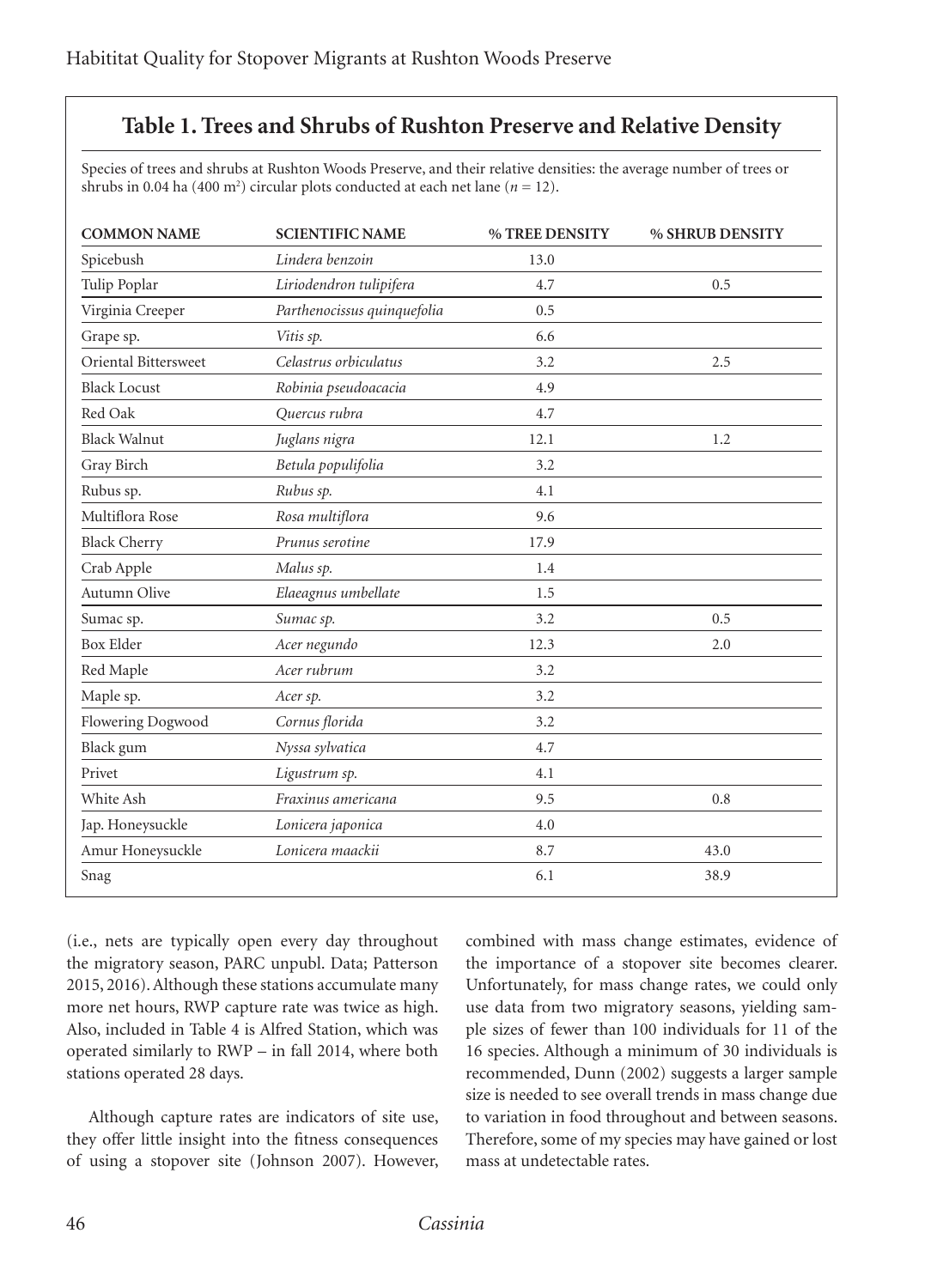## **Table 1. Trees and Shrubs of Rushton Preserve and Relative Density**

Species of trees and shrubs at Rushton Woods Preserve, and their relative densities: the average number of trees or shrubs in 0.04 ha (400 m<sup>2</sup>) circular plots conducted at each net lane ( $n = 12$ ).

| <b>COMMON NAME</b>   | <b>SCIENTIFIC NAME</b>      | % TREE DENSITY | % SHRUB DENSITY |
|----------------------|-----------------------------|----------------|-----------------|
| Spicebush            | Lindera benzoin             | 13.0           |                 |
| Tulip Poplar         | Liriodendron tulipifera     | 4.7            | 0.5             |
| Virginia Creeper     | Parthenocissus quinquefolia | 0.5            |                 |
| Grape sp.            | Vitis sp.                   | 6.6            |                 |
| Oriental Bittersweet | Celastrus orbiculatus       | 3.2            | 2.5             |
| <b>Black Locust</b>  | Robinia pseudoacacia        | 4.9            |                 |
| Red Oak              | Quercus rubra               | 4.7            |                 |
| <b>Black Walnut</b>  | Juglans nigra               | 12.1           | 1.2             |
| Gray Birch           | Betula populifolia          | 3.2            |                 |
| Rubus sp.            | Rubus sp.                   | 4.1            |                 |
| Multiflora Rose      | Rosa multiflora             | 9.6            |                 |
| <b>Black Cherry</b>  | Prunus serotine             | 17.9           |                 |
| Crab Apple           | Malus sp.                   | 1.4            |                 |
| Autumn Olive         | Elaeagnus umbellate         | 1.5            |                 |
| Sumac sp.            | Sumac sp.                   | 3.2            | 0.5             |
| <b>Box Elder</b>     | Acer negundo                | 12.3           | 2.0             |
| Red Maple            | Acer rubrum                 | 3.2            |                 |
| Maple sp.            | Acer sp.                    | 3.2            |                 |
| Flowering Dogwood    | Cornus florida              | 3.2            |                 |
| Black gum            | Nyssa sylvatica             | 4.7            |                 |
| Privet               | Ligustrum sp.               | 4.1            |                 |
| White Ash            | Fraxinus americana          | 9.5            | 0.8             |
| Jap. Honeysuckle     | Lonicera japonica           | 4.0            |                 |
| Amur Honeysuckle     | Lonicera maackii            | 8.7            | 43.0            |
| Snag                 |                             | 6.1            | 38.9            |

(i.e., nets are typically open every day throughout the migratory season, PARC unpubl. Data; Patterson 2015, 2016). Although these stations accumulate many more net hours, RWP capture rate was twice as high. Also, included in Table 4 is Alfred Station, which was operated similarly to RWP – in fall 2014, where both stations operated 28 days.

Although capture rates are indicators of site use, they offer little insight into the fitness consequences of using a stopover site (Johnson 2007). However, combined with mass change estimates, evidence of the importance of a stopover site becomes clearer. Unfortunately, for mass change rates, we could only use data from two migratory seasons, yielding sample sizes of fewer than 100 individuals for 11 of the 16 species. Although a minimum of 30 individuals is recommended, Dunn (2002) suggests a larger sample size is needed to see overall trends in mass change due to variation in food throughout and between seasons. Therefore, some of my species may have gained or lost mass at undetectable rates.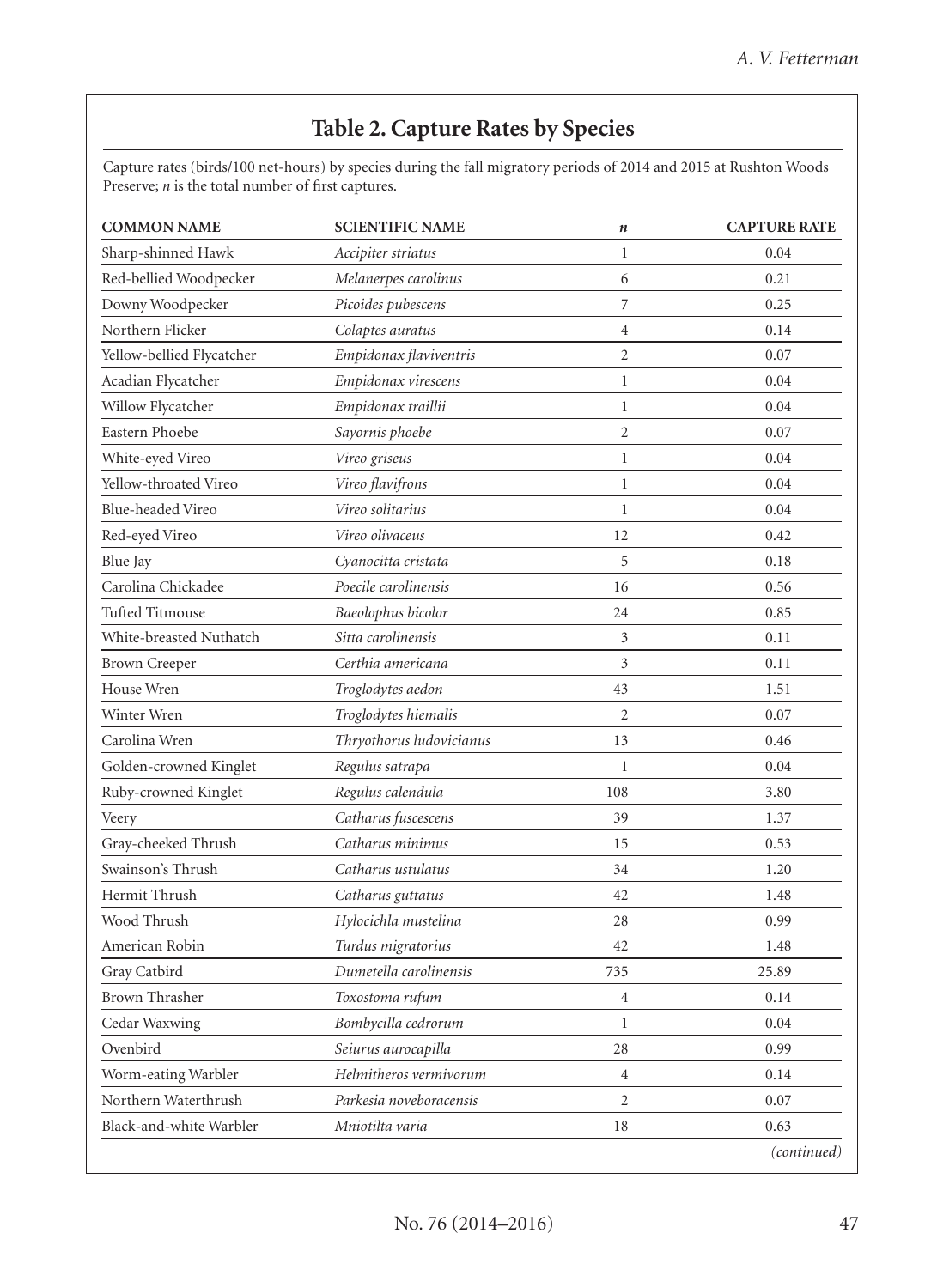# **Table 2. Capture Rates by Species**

Capture rates (birds/100 net-hours) by species during the fall migratory periods of 2014 and 2015 at Rushton Woods Preserve; *n* is the total number of first captures.

| <b>COMMON NAME</b>        | <b>SCIENTIFIC NAME</b>   | $\boldsymbol{n}$ | <b>CAPTURE RATE</b> |
|---------------------------|--------------------------|------------------|---------------------|
| Sharp-shinned Hawk        | Accipiter striatus       | $\mathbf{1}$     | 0.04                |
| Red-bellied Woodpecker    | Melanerpes carolinus     | 6                | 0.21                |
| Downy Woodpecker          | Picoides pubescens       | $\sqrt{ }$       | 0.25                |
| Northern Flicker          | Colaptes auratus         | $\overline{4}$   | 0.14                |
| Yellow-bellied Flycatcher | Empidonax flaviventris   | $\overline{c}$   | 0.07                |
| Acadian Flycatcher        | Empidonax virescens      | $\mathbf{1}$     | 0.04                |
| Willow Flycatcher         | Empidonax traillii       | $\mathbf{1}$     | 0.04                |
| Eastern Phoebe            | Sayornis phoebe          | $\overline{c}$   | 0.07                |
| White-eyed Vireo          | Vireo griseus            | $\mathbf{1}$     | 0.04                |
| Yellow-throated Vireo     | Vireo flavifrons         | $\mathbf{1}$     | 0.04                |
| Blue-headed Vireo         | Vireo solitarius         | $\mathbf{1}$     | 0.04                |
| Red-eyed Vireo            | Vireo olivaceus          | 12               | 0.42                |
| Blue Jay                  | Cyanocitta cristata      | 5                | 0.18                |
| Carolina Chickadee        | Poecile carolinensis     | 16               | 0.56                |
| <b>Tufted Titmouse</b>    | Baeolophus bicolor       | 24               | 0.85                |
| White-breasted Nuthatch   | Sitta carolinensis       | 3                | 0.11                |
| <b>Brown Creeper</b>      | Certhia americana        | 3                | 0.11                |
| House Wren                | Troglodytes aedon        | 43               | 1.51                |
| Winter Wren               | Troglodytes hiemalis     | $\overline{c}$   | 0.07                |
| Carolina Wren             | Thryothorus ludovicianus | 13               | 0.46                |
| Golden-crowned Kinglet    | Regulus satrapa          | $\mathbf{1}$     | 0.04                |
| Ruby-crowned Kinglet      | Regulus calendula        | 108              | 3.80                |
| Veery                     | Catharus fuscescens      | 39               | 1.37                |
| Gray-cheeked Thrush       | Catharus minimus         | 15               | 0.53                |
| Swainson's Thrush         | Catharus ustulatus       | 34               | 1.20                |
| Hermit Thrush             | Catharus guttatus        | 42               | 1.48                |
| Wood Thrush               | Hylocichla mustelina     | 28               | 0.99                |
| American Robin            | Turdus migratorius       | 42               | 1.48                |
| Gray Catbird              | Dumetella carolinensis   | 735              | 25.89               |
| <b>Brown Thrasher</b>     | Toxostoma rufum          | $\overline{4}$   | 0.14                |
| Cedar Waxwing             | Bombycilla cedrorum      | $\mathbf 1$      | 0.04                |
| Ovenbird                  | Seiurus aurocapilla      | 28               | 0.99                |
| Worm-eating Warbler       | Helmitheros vermivorum   | $\overline{4}$   | 0.14                |
| Northern Waterthrush      | Parkesia noveboracensis  | $\overline{2}$   | 0.07                |
| Black-and-white Warbler   | Mniotilta varia          | 18               | 0.63                |
|                           |                          |                  | (continued)         |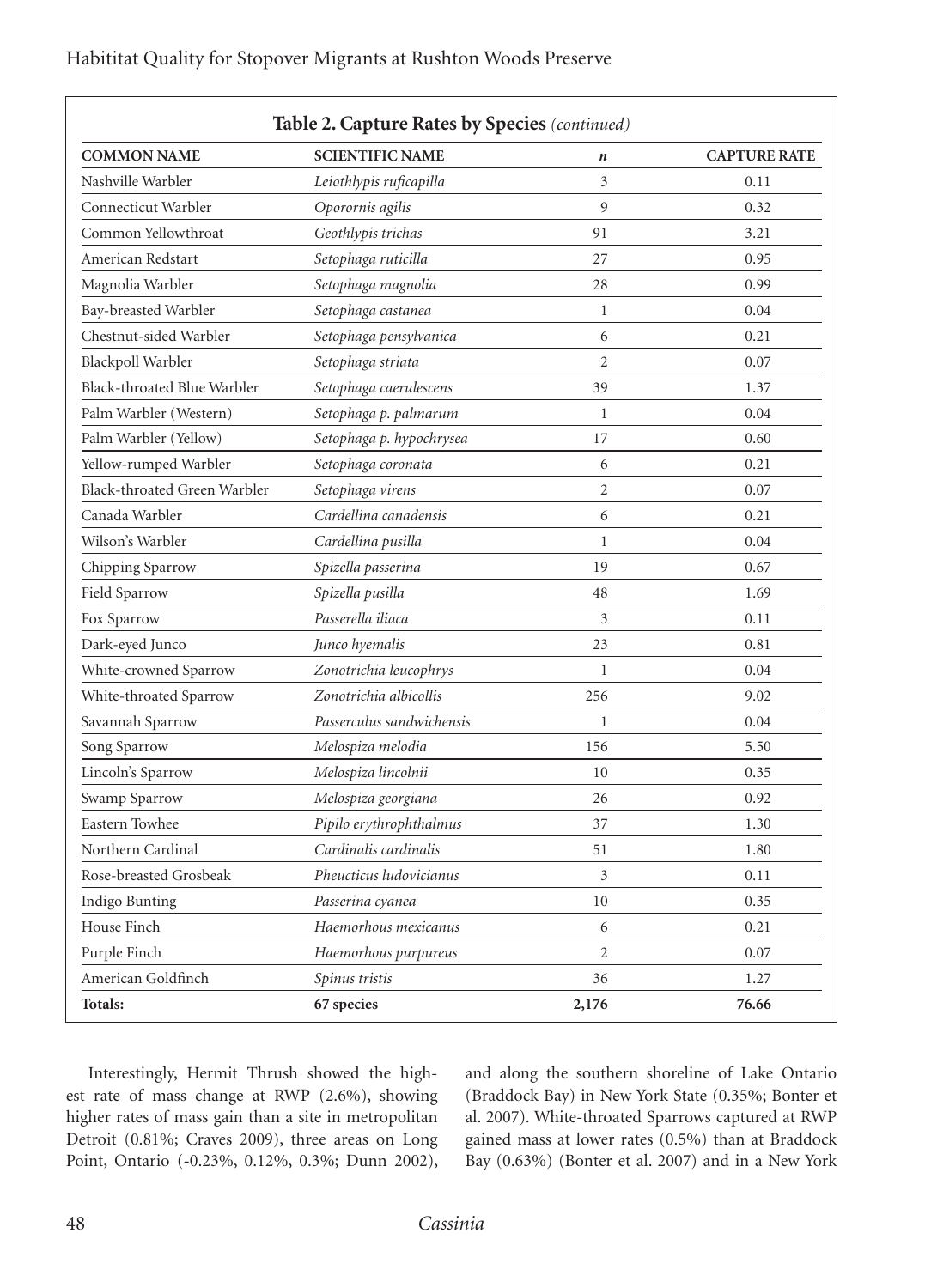| Habititat Quality for Stopover Migrants at Rushton Woods Preserve |  |
|-------------------------------------------------------------------|--|
|-------------------------------------------------------------------|--|

| <b>COMMON NAME</b>           | <b>SCIENTIFIC NAME</b>    | $\boldsymbol{n}$ | <b>CAPTURE RATE</b> |
|------------------------------|---------------------------|------------------|---------------------|
| Nashville Warbler            | Leiothlypis ruficapilla   | 3                | 0.11                |
| Connecticut Warbler          | Oporornis agilis          | 9                | 0.32                |
| Common Yellowthroat          | Geothlypis trichas        | 91               | 3.21                |
| American Redstart            | Setophaga ruticilla       | 27               | 0.95                |
| Magnolia Warbler             | Setophaga magnolia        | 28               | 0.99                |
| Bay-breasted Warbler         | Setophaga castanea        | $\mathbf{1}$     | 0.04                |
| Chestnut-sided Warbler       | Setophaga pensylvanica    | 6                | 0.21                |
| Blackpoll Warbler            | Setophaga striata         | $\overline{c}$   | 0.07                |
| Black-throated Blue Warbler  | Setophaga caerulescens    | 39               | 1.37                |
| Palm Warbler (Western)       | Setophaga p. palmarum     | $\mathbf{1}$     | 0.04                |
| Palm Warbler (Yellow)        | Setophaga p. hypochrysea  | 17               | 0.60                |
| Yellow-rumped Warbler        | Setophaga coronata        | 6                | 0.21                |
| Black-throated Green Warbler | Setophaga virens          | $\overline{2}$   | 0.07                |
| Canada Warbler               | Cardellina canadensis     | 6                | 0.21                |
| Wilson's Warbler             | Cardellina pusilla        | $\mathbf{1}$     | 0.04                |
| Chipping Sparrow             | Spizella passerina        | 19               | 0.67                |
| Field Sparrow                | Spizella pusilla          | 48               | 1.69                |
| Fox Sparrow                  | Passerella iliaca         | 3                | 0.11                |
| Dark-eyed Junco              | Junco hyemalis            | 23               | 0.81                |
| White-crowned Sparrow        | Zonotrichia leucophrys    | $\mathbf{1}$     | 0.04                |
| White-throated Sparrow       | Zonotrichia albicollis    | 256              | 9.02                |
| Savannah Sparrow             | Passerculus sandwichensis | $\mathbf{1}$     | 0.04                |
| Song Sparrow                 | Melospiza melodia         | 156              | 5.50                |
| Lincoln's Sparrow            | Melospiza lincolnii       | 10               | 0.35                |
| Swamp Sparrow                | Melospiza georgiana       | 26               | 0.92                |
| Eastern Towhee               | Pipilo erythrophthalmus   | 37               | 1.30                |
| Northern Cardinal            | Cardinalis cardinalis     | 51               | 1.80                |
| Rose-breasted Grosbeak       | Pheucticus ludovicianus   | 3                | 0.11                |
| Indigo Bunting               | Passerina cyanea          | 10               | 0.35                |
| House Finch                  | Haemorhous mexicanus      | 6                | 0.21                |
| Purple Finch                 | Haemorhous purpureus      | $\overline{c}$   | 0.07                |
| American Goldfinch           | Spinus tristis            | 36               | 1.27                |
| Totals:                      | 67 species                | 2,176            | 76.66               |

Interestingly, Hermit Thrush showed the highest rate of mass change at RWP (2.6%), showing higher rates of mass gain than a site in metropolitan Detroit (0.81%; Craves 2009), three areas on Long Point, Ontario (-0.23%, 0.12%, 0.3%; Dunn 2002), and along the southern shoreline of Lake Ontario (Braddock Bay) in New York State (0.35%; Bonter et al. 2007). White-throated Sparrows captured at RWP gained mass at lower rates (0.5%) than at Braddock Bay (0.63%) (Bonter et al. 2007) and in a New York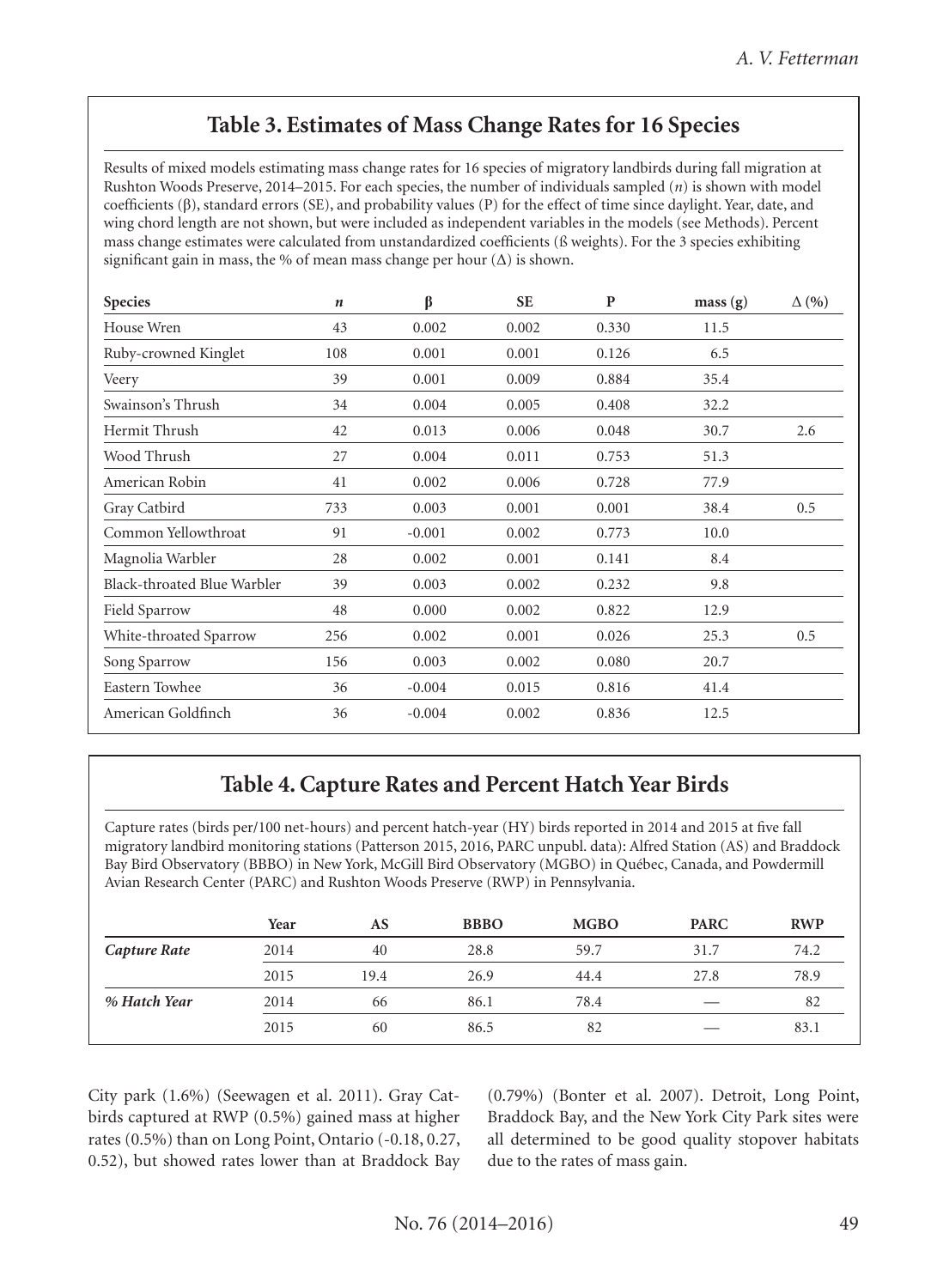## **Table 3. Estimates of Mass Change Rates for 16 Species**

Results of mixed models estimating mass change rates for 16 species of migratory landbirds during fall migration at Rushton Woods Preserve, 2014–2015. For each species, the number of individuals sampled (*n*) is shown with model coefficients (β), standard errors (SE), and probability values (P) for the effect of time since daylight. Year, date, and wing chord length are not shown, but were included as independent variables in the models (see Methods). Percent mass change estimates were calculated from unstandardized coefficients (ß weights). For the 3 species exhibiting significant gain in mass, the % of mean mass change per hour  $(\Delta)$  is shown.

| <b>Species</b>              | n   | β        | <b>SE</b> | P     | mass(g) | $\Delta(96)$ |
|-----------------------------|-----|----------|-----------|-------|---------|--------------|
| House Wren                  | 43  | 0.002    | 0.002     | 0.330 | 11.5    |              |
| Ruby-crowned Kinglet        | 108 | 0.001    | 0.001     | 0.126 | 6.5     |              |
| Veery                       | 39  | 0.001    | 0.009     | 0.884 | 35.4    |              |
| Swainson's Thrush           | 34  | 0.004    | 0.005     | 0.408 | 32.2    |              |
| Hermit Thrush               | 42  | 0.013    | 0.006     | 0.048 | 30.7    | 2.6          |
| Wood Thrush                 | 27  | 0.004    | 0.011     | 0.753 | 51.3    |              |
| American Robin              | 41  | 0.002    | 0.006     | 0.728 | 77.9    |              |
| Gray Catbird                | 733 | 0.003    | 0.001     | 0.001 | 38.4    | 0.5          |
| Common Yellowthroat         | 91  | $-0.001$ | 0.002     | 0.773 | 10.0    |              |
| Magnolia Warbler            | 28  | 0.002    | 0.001     | 0.141 | 8.4     |              |
| Black-throated Blue Warbler | 39  | 0.003    | 0.002     | 0.232 | 9.8     |              |
| Field Sparrow               | 48  | 0.000    | 0.002     | 0.822 | 12.9    |              |
| White-throated Sparrow      | 256 | 0.002    | 0.001     | 0.026 | 25.3    | 0.5          |
| Song Sparrow                | 156 | 0.003    | 0.002     | 0.080 | 20.7    |              |
| Eastern Towhee              | 36  | $-0.004$ | 0.015     | 0.816 | 41.4    |              |
| American Goldfinch          | 36  | $-0.004$ | 0.002     | 0.836 | 12.5    |              |

# **Table 4. Capture Rates and Percent Hatch Year Birds**

Capture rates (birds per/100 net-hours) and percent hatch-year (HY) birds reported in 2014 and 2015 at five fall migratory landbird monitoring stations (Patterson 2015, 2016, PARC unpubl. data): Alfred Station (AS) and Braddock Bay Bird Observatory (BBBO) in New York, McGill Bird Observatory (MGBO) in Québec, Canada, and Powdermill Avian Research Center (PARC) and Rushton Woods Preserve (RWP) in Pennsylvania.

|              | Year | AS   | <b>BBBO</b> | <b>MGBO</b> | <b>PARC</b> | <b>RWP</b> |
|--------------|------|------|-------------|-------------|-------------|------------|
| Capture Rate | 2014 | 40   | 28.8        | 59.7        | 31.7        | 74.2       |
|              | 2015 | 19.4 | 26.9        | 44.4        | 27.8        | 78.9       |
| % Hatch Year | 2014 | 66   | 86.1        | 78.4        |             | 82         |
|              | 2015 | 60   | 86.5        | 82          |             | 83.1       |

City park (1.6%) (Seewagen et al. 2011). Gray Catbirds captured at RWP (0.5%) gained mass at higher rates (0.5%) than on Long Point, Ontario (-0.18, 0.27, 0.52), but showed rates lower than at Braddock Bay (0.79%) (Bonter et al. 2007). Detroit, Long Point, Braddock Bay, and the New York City Park sites were all determined to be good quality stopover habitats due to the rates of mass gain.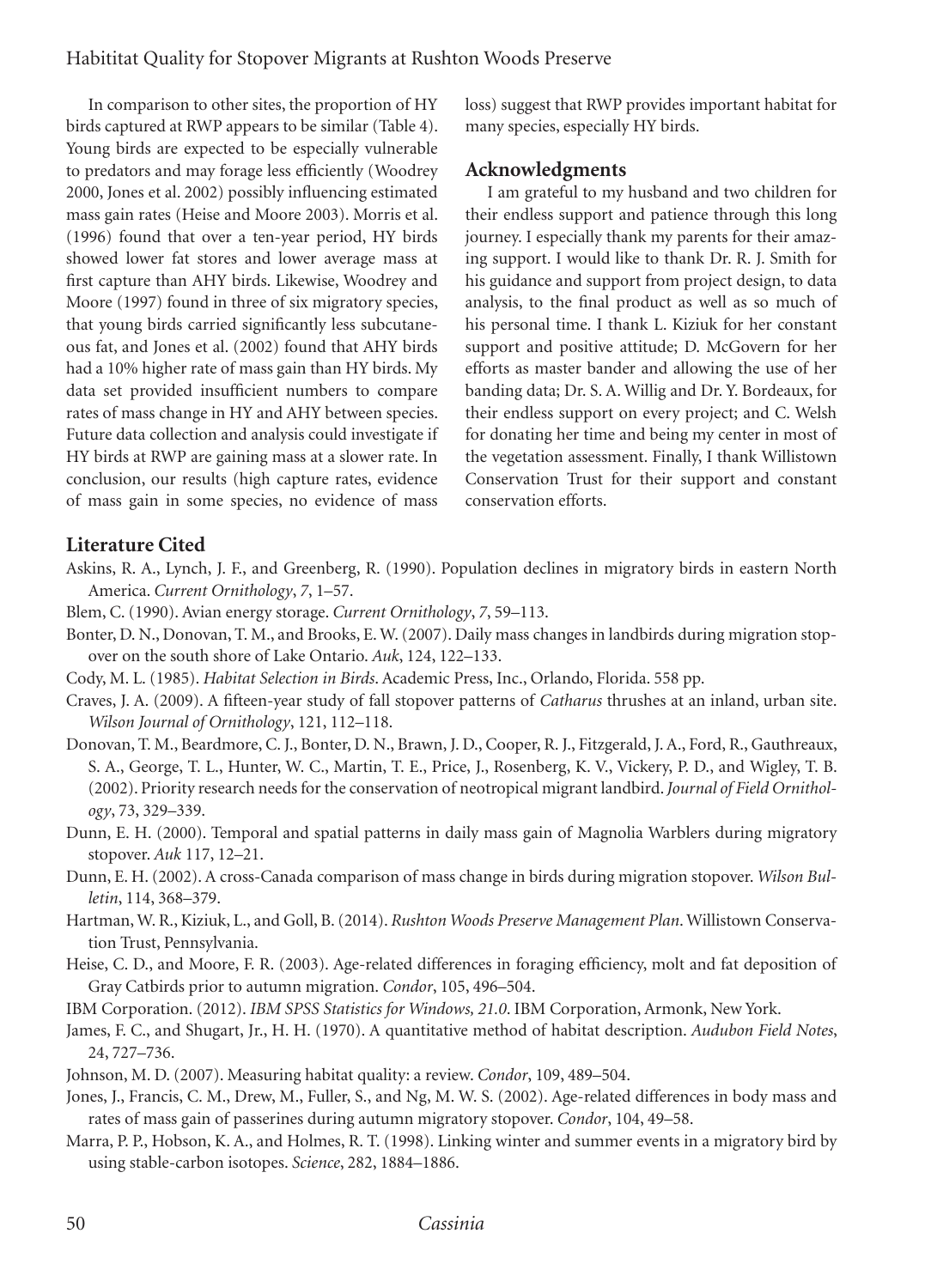In comparison to other sites, the proportion of HY birds captured at RWP appears to be similar (Table 4). Young birds are expected to be especially vulnerable to predators and may forage less efficiently (Woodrey 2000, Jones et al. 2002) possibly influencing estimated mass gain rates (Heise and Moore 2003). Morris et al. (1996) found that over a ten-year period, HY birds showed lower fat stores and lower average mass at first capture than AHY birds. Likewise, Woodrey and Moore (1997) found in three of six migratory species, that young birds carried significantly less subcutaneous fat, and Jones et al. (2002) found that AHY birds had a 10% higher rate of mass gain than HY birds. My data set provided insufficient numbers to compare rates of mass change in HY and AHY between species. Future data collection and analysis could investigate if HY birds at RWP are gaining mass at a slower rate. In conclusion, our results (high capture rates, evidence of mass gain in some species, no evidence of mass loss) suggest that RWP provides important habitat for many species, especially HY birds.

### **Acknowledgments**

I am grateful to my husband and two children for their endless support and patience through this long journey. I especially thank my parents for their amazing support. I would like to thank Dr. R. J. Smith for his guidance and support from project design, to data analysis, to the final product as well as so much of his personal time. I thank L. Kiziuk for her constant support and positive attitude; D. McGovern for her efforts as master bander and allowing the use of her banding data; Dr. S. A. Willig and Dr. Y. Bordeaux, for their endless support on every project; and C. Welsh for donating her time and being my center in most of the vegetation assessment. Finally, I thank Willistown Conservation Trust for their support and constant conservation efforts.

### **Literature Cited**

- Askins, R. A., Lynch, J. F., and Greenberg, R. (1990). Population declines in migratory birds in eastern North America. *Current Ornithology*, *7*, 1–57.
- Blem, C. (1990). Avian energy storage. *Current Ornithology*, *7*, 59–113.
- Bonter, D. N., Donovan, T. M., and Brooks, E. W. (2007). Daily mass changes in landbirds during migration stopover on the south shore of Lake Ontario. *Auk*, 124, 122–133.
- Cody, M. L. (1985). *Habitat Selection in Birds*. Academic Press, Inc., Orlando, Florida. 558 pp.
- Craves, J. A. (2009). A fifteen-year study of fall stopover patterns of *Catharus* thrushes at an inland, urban site. *Wilson Journal of Ornithology*, 121, 112–118.
- Donovan, T. M., Beardmore, C. J., Bonter, D. N., Brawn, J. D., Cooper, R. J., Fitzgerald, J. A., Ford, R., Gauthreaux, S. A., George, T. L., Hunter, W. C., Martin, T. E., Price, J., Rosenberg, K. V., Vickery, P. D., and Wigley, T. B. (2002). Priority research needs for the conservation of neotropical migrant landbird. *Journal of Field Ornithology*, 73, 329–339.
- Dunn, E. H. (2000). Temporal and spatial patterns in daily mass gain of Magnolia Warblers during migratory stopover. *Auk* 117, 12–21.
- Dunn, E. H. (2002). A cross-Canada comparison of mass change in birds during migration stopover. *Wilson Bulletin*, 114, 368–379.
- Hartman, W. R., Kiziuk, L., and Goll, B. (2014). *Rushton Woods Preserve Management Plan*. Willistown Conservation Trust, Pennsylvania.
- Heise, C. D., and Moore, F. R. (2003). Age-related differences in foraging efficiency, molt and fat deposition of Gray Catbirds prior to autumn migration. *Condor*, 105, 496–504.
- IBM Corporation. (2012). *IBM SPSS Statistics for Windows, 21.0*. IBM Corporation, Armonk, New York.
- James, F. C., and Shugart, Jr., H. H. (1970). A quantitative method of habitat description. *Audubon Field Notes*, 24, 727–736.
- Johnson, M. D. (2007). Measuring habitat quality: a review. *Condor*, 109, 489–504.
- Jones, J., Francis, C. M., Drew, M., Fuller, S., and Ng, M. W. S. (2002). Age-related differences in body mass and rates of mass gain of passerines during autumn migratory stopover. *Condor*, 104, 49–58.
- Marra, P. P., Hobson, K. A., and Holmes, R. T. (1998). Linking winter and summer events in a migratory bird by using stable-carbon isotopes. *Science*, 282, 1884–1886.